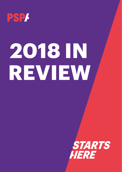

# **2018 IN REVIEW**

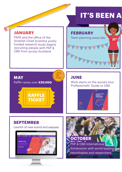## **IT'S BEEN A**

#### **JANUARY**

**MAY**

PSPA and the office of the Scottish Chief Scientist jointly funded research study begins recruiting people with PSP & CBD from across Scotland

Raffle raises over **£20,000**

**RAFFLE TICKET** 

## **FEBRUARY** Team planning away-day **STAR**

#### **JUNE**

Work starts on the world's first Professionals' Guide to CBD



#### **SEPTEMBER**

Launch of new brand and website



**OCTOBER** PSP & CBD International Symposium with world leading neurologists and researchers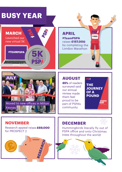## **BUSY YEAR**





Research appeal raises **£69,000**

RESEARCH

**NOVEMBER**

for PROSPECT 2

#### **APRIL #TeamPSPA** raises **£157,000** by completing the London Marathon 1322

#### **AUGUST**

**85%** of readers surveyed said our annual review made them feel proud to be part of PSPA's community

PSP/ THE **JOURNEY** OF A **POUND** 

#### **DECEMBER**

Hummingbirds literally fly out of PSPA office and onto Christmas trees throughout the world!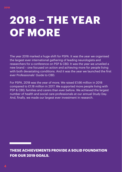## **2018 – THE YEAR OF MORE**

The year 2018 marked a huge shift for PSPA. It was the year we organised the largest ever international gathering of leading neurologists and researchers for a conference on PSP & CBD. It was the year we unveiled a new brand – one focused on action and achieving more for people living with both devastating conditions. And it was the year we launched the first ever Professionals' Guide to CBD.

For PSPA, 2018 was the year of more. We raised £1.66 million in 2018 compared to £1.18 million in 2017. We supported more people living with PSP & CBD, families and carers than ever before. We achieved the largest number of health and social care professionals at our annual Study Day. And, finally, we made our largest ever investment in research.

**THESE ACHIEVEMENTS PROVIDE A SOLID FOUNDATION FOR OUR 2019 GOALS.**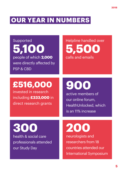### **OUR YEAR IN NUMBERS**

Supported **5,100** people of which **2,000** were directly affected by PSP & CBD

Helpline handled over **5,500** calls and emails

## **£516,000**

invested in research including **£333,000** in direct research grants

**900**

active members of our online forum, HealthUnlocked, which is an 11% increase

**300** health & social care professionals attended our Study Day

## **200**

neurologists and researchers from 18 countries attended our International Symposium **2018**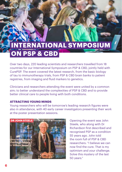## **INTERNATIONAL SYMPOSIU ON PSP & CBD**

Over two days, 220 leading scientists and researchers travelled from 18 countries for our International Symposium on PSP & CBD, jointly held with CurePSP. The event covered the latest research, from the basic biology of tau to immunotherapy trials, from PSP & CBD brain banks to patient registries, from imaging and fluid markers to genetics.

Clinicians and researchers attending the event were united by a common aim; to better understand the complexities of PSP & CBD and to provide better clinical care to people living with both conditions.

#### **ATTRACTING YOUNG MINDS**

Young researchers who will be tomorrow's leading research figures were also in attendance, with 40 early career investigators presenting their work at the poster presentation sessions.



Opening the event was John Steele, who along with Dr Richardson first described and recognised PSP as a condition 55 years ago. John told the room full of PSP & CBD researchers: "I believe we can now find the cure. That is my optimism and your challenge. Solve this mystery of the last 50 years."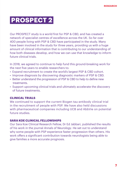### **PROSPECT 2**

Our PROSPECT study is a world first for PSP & CBD, and has created a network of specialist centres of excellence across the UK. So far over 400 people living with PSP & CBD have participated in the study. Many have been involved in the study for three years, providing us with a huge amount of clinical information that is contributing to our understanding of how both diseases develop, and how we can use that knowledge to inform future clinical trials.

In 2018, we agreed to continue to help fund this ground-breaking work for the next five years to enable researchers to:

- Expand recruitment to create the world's largest PSP & CBD cohort.
- Improve diagnosis by discovering diagnostic markers of PSP & CBD.
- Better understand the progression of PSP & CBD to help to define new treatments.
- Support upcoming clinical trials and ultimately accelerate the discovery of future treatments.

#### **CLINICAL TRIALS**

We continued to support the current Biogen tau-antibody clinical trial in the recruitment of people with PSP. We have also held discussions with pharmaceutical companies including UCB and AbbVie on potential future studies.

#### **SARA KOE CLINICAL FELLOWSHIPS**

Our Sara Koe Clinical Research Fellow, Dr Ed Jabbari, published the results of his work in the journal *Annals of Neurology*. He set out to understand why some people with PSP experience faster progression than others. His work offers a significant contribution towards neurologists being able to give families a more accurate prognosis.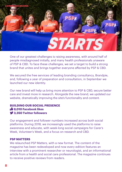

One of our greatest challenges is raising awareness, with around half of people misdiagnosed initially, and many health professionals unaware of PSP & CBD. To face these challenges, we set a target to build a strong brand that unites and brings together everyone affected by PSP & CBD.

We secured the free services of leading branding consultancy, Brandpie, and, following a year of preparation and consultation, in September we launched our new identity.

Our new brand will help us bring more attention to PSP & CBD, secure better care and invest more in research. Alongside the new brand, we updated our website, dramatically improving the site's functionality and content.

#### **BUILDING OUR SOCIAL PRESENCE 8,010 Facebook likes 3,350 Twitter followers**

Our engagement and follower numbers increased across both social platforms. During 2018, we increasingly used the platforms to raise awareness and educate, with week-long social campaigns for Carer's Week, Volunteer's Week, and a focus on research and CBD.

#### **PSP MATTERS**

We relaunched *PSP Matters*, with a new format. The content of the magazine has been redeveloped and now every edition features an interview with a prominent researcher or neurologist, and an informational article from a health and social care professional. The magazine continues to receive positive reviews from readers.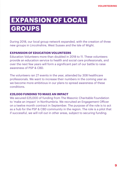## **EXPANSION OF LOCAL GROUPS**

During 2018, our local group network expanded, with the creation of three new groups in Lincolnshire, West Sussex and the Isle of Wight.

#### **EXPANSION OF EDUCATION VOLUNTEERS**

Education Volunteers more than doubled in 2018 to 11. These volunteers provide an education service to health and social care professionals, and over the next few years will form a significant part of our battle to raise awareness of PSP & CBD.

The volunteers ran 27 events in the year, attended by 308 healthcare professionals. We want to increase their numbers in the coming year as we become more ambitious in our plans to spread awareness of these conditions.

#### **£25,000 FUNDING TO MAKE AN IMPACT**

We secured £25,000 of funding from The Masonic Charitable Foundation to 'make an impact' in Northumbria. We recruited an Engagement Officer on a twelve month contract in September. The purpose of the role is to act as a hub for the PSP & CBD community in the region. The role is a pilot that if successful, we will roll out in other areas, subject to securing funding.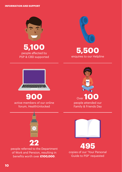

**5,100** people affected by PSP & CBD supported



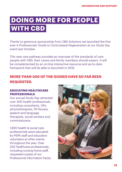## **DOING MORE FOR PEOPLE WITH CBD**

Thanks to generous sponsorship from CBD Solutions we launched the first ever *A Professionals' Guide to Corticobasal Degeneration* at our Study Day event last October.

This new care pathway provides an overview of the standards of care people with CBD, their carers and family members should expect. It will be complemented by an on-line interactive resource and up-to-date framework that will be able to launched in 2019.

#### **MORE THAN 300 OF THE GUIDES HAVE SO FAR BEEN REQUESTED.**

#### **EDUCATING HEALTHCARE PROFESSIONALS**

Our annual Study Day attracted over 300 health professionals including consultants, GPs, physiotherapists, PD Nurses, speech and language therapists, social workers and commissioners.

1,800 health & social care professionals were educated by PSPA staff and education volunteers at other events throughout the year. Over 200 healthcare professionals, including nursing home staff, requested copies of our Professional Information Packs.

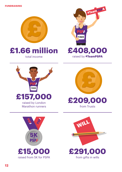











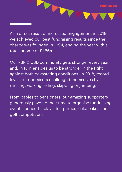As a direct result of increased engagement in 2018 we achieved our best fundraising results since the charity was founded in 1994, ending the year with a total income of £1,66m.

T

Our PSP & CBD community gets stronger every year, and, in turn enables us to be stronger in the fight against both devastating conditions. In 2018, record levels of fundraisers challenged themselves by running, walking, riding, skipping or jumping.

From babies to pensioners, our amazing supporters generously gave up their time to organise fundraising events, concerts, plays, tea-parties, cake bakes and golf competitions.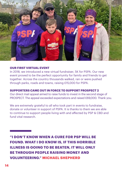

#### **OUR FIRST VIRTUAL EVENT**

In 2018, we introduced a new virtual fundraiser, 5K for PSPA. Our new event proved to be the perfect opportunity for family and friends to get together. Across the country thousands walked, ran or were pushed through parks, roads and towns, raising £15,000 for PSPA.

#### **SUPPORTERS CAME OUT IN FORCE TO SUPPORT PROSPECT 2**

Our direct mail appeal aimed to raise funds to invest in the second stage of PROSPECT. The appeal exceeded expectations and raised £69,000. Thank you.

We are extremely grateful to all who took part in events to fundraise, donate or volunteer in support of PSPA. It is thanks to them we are able to continue to support people living with and affected by PSP & CBD and fund vital research.

**"I DON'T KNOW WHEN A CURE FOR PSP WILL BE FOUND. WHAT I DO KNOW IS, IF THIS HORRIBLE ILLNESS IS GOING TO BE BEATEN, IT WILL ONLY BE THROUGH PEOPLE RAISING MONEY AND VOLUNTEERING." MICHAEL SHEPHERD**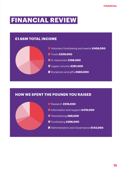### **FINANCIAL REVIEW**

#### **£1.66M TOTAL INCOME**



#### **HOW WE SPENT THE POUNDS YOU RAISED**